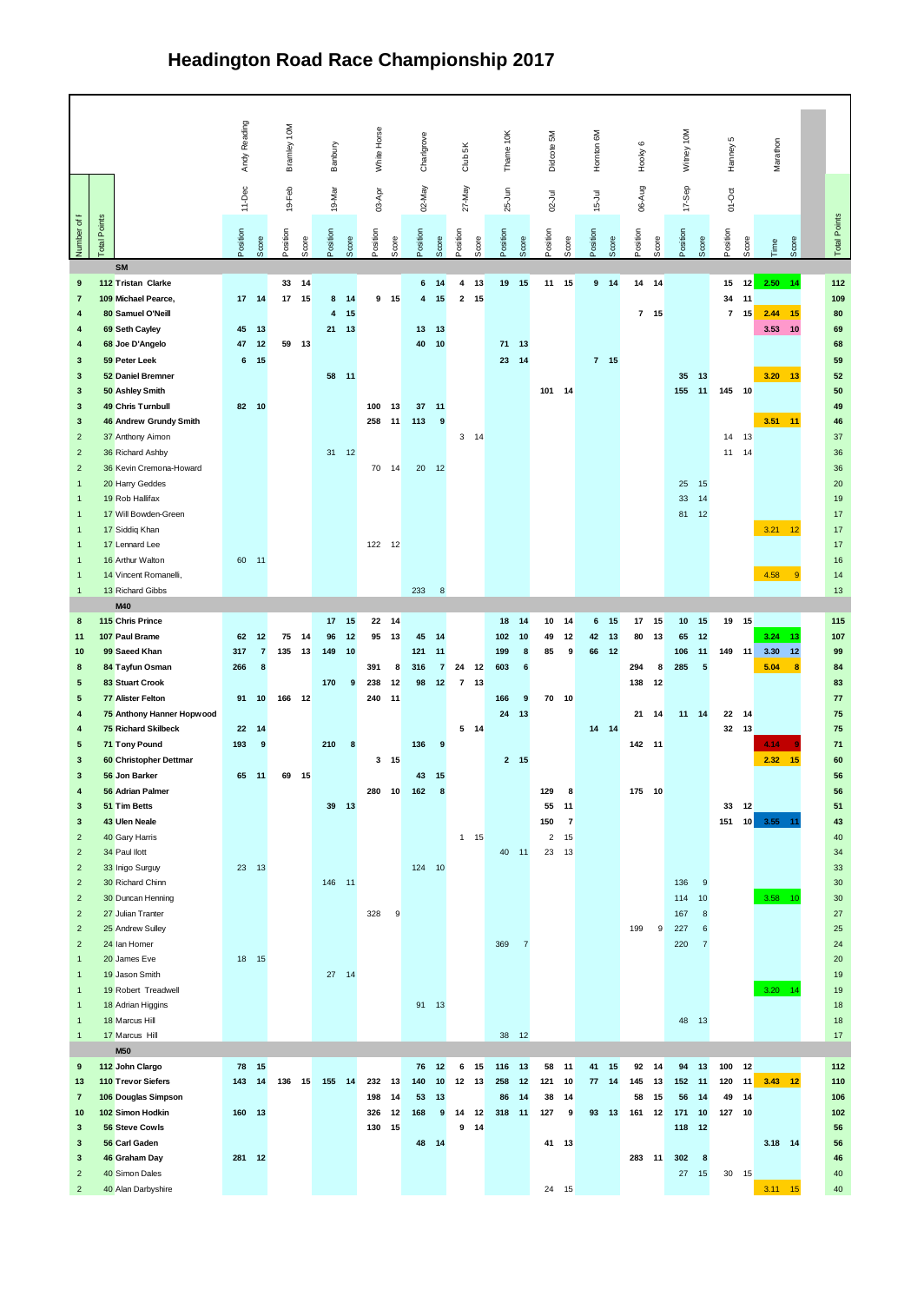## **Headington Road Race Championship 2017**

|                                           |                                            | Andy Reading |                     | 10M       |    |                |                  | White Hose                    |               |                                       | š                             |    | ig              |                | š              |                     | š                    |                 |              | š                  |                      |                      |       |                |                 |
|-------------------------------------------|--------------------------------------------|--------------|---------------------|-----------|----|----------------|------------------|-------------------------------|---------------|---------------------------------------|-------------------------------|----|-----------------|----------------|----------------|---------------------|----------------------|-----------------|--------------|--------------------|----------------------|----------------------|-------|----------------|-----------------|
|                                           |                                            |              |                     | Bramley 1 |    | Banbury        |                  |                               | Charlgrove    |                                       | 3h                            |    | Theme           |                | Didoote        |                     | Hartton              | Hooky 6         |              | Virtury            |                      | Hanney <sub>5</sub>  |       | Varathon       |                 |
|                                           |                                            |              |                     |           |    |                |                  |                               |               |                                       |                               |    |                 |                |                |                     |                      |                 |              |                    |                      |                      |       |                |                 |
|                                           |                                            | 11-Dec       |                     | 19 Feb    |    | 19 Mar         |                  | 09.Apr                        | 02 May        |                                       | 27-May                        |    | 25.Jan          |                | 02.34          |                     | 15.34                | 06 Aug          |              | 17.3 <sub>CP</sub> |                      | 01-Oct               |       |                |                 |
|                                           |                                            |              |                     |           |    |                |                  |                               |               |                                       |                               |    |                 |                |                |                     |                      |                 |              |                    |                      |                      |       |                |                 |
| Amber of F                                | Points                                     | coition      |                     | coition   |    | <b>Collabo</b> |                  | Sition                        | <b>Silico</b> |                                       | S <sub>D</sub>                |    | <b>Cities</b>   |                | <b>Silico</b>  |                     | ceition              | coition         |              | osition            |                      | Seption              |       |                | Total Points    |
|                                           | $\overline{3}$                             |              |                     |           | g  |                |                  | 8                             |               | Ş                                     | å                             |    |                 | Ş              |                |                     |                      |                 |              |                    |                      |                      | š     | 8              |                 |
|                                           | SM                                         |              |                     |           |    |                |                  |                               |               |                                       |                               |    |                 |                |                |                     |                      |                 |              |                    |                      |                      |       |                |                 |
| $\overline{9}$                            | 112 Tristan Clarke                         |              |                     | 33 14     |    |                |                  |                               | 6             | 14                                    | $4 - 13$                      |    | 19 15           |                | $11 - 15$      |                     | $9 - 14$             |                 | $14 - 14$    |                    |                      | 15                   | 12    | $2.50 - 14$    | 112             |
| $\overline{z}$<br>٠                       | 109 Michael Pearce,<br>80 Samuel O'Neil    | $17 - 14$    |                     | 17        | 15 | 8<br>4         | 14<br>15         | $9 - 15$                      | 4             | 15                                    | $2 - 15$                      |    |                 |                |                |                     |                      |                 | $7 - 15$     |                    |                      | 34<br>$\overline{t}$ | 11    | 15 2.44 15     | 109<br>so.      |
| $\overline{a}$                            | 69 Seth Cayley                             | 45           | 13                  |           |    | 21             | 13               |                               | 13            | 13                                    |                               |    |                 |                |                |                     |                      |                 |              |                    |                      |                      |       | 3.53 10        | <b>GQ</b>       |
| $\ddot{\phantom{1}}$                      | 68 Joe D'Angelo                            | $47 - 12$    |                     | 59 13     |    |                |                  |                               | 40            | 10                                    |                               |    | 71              | 13             |                |                     |                      |                 |              |                    |                      |                      |       |                | 68              |
| 3                                         | 59 Peter Leek                              | 6            | 15                  |           |    |                |                  |                               |               |                                       |                               |    | 23              | 14             |                |                     | $7 - 15$             |                 |              |                    |                      |                      |       |                | 59              |
| 3                                         | 52 Daniel Bremner                          |              |                     |           |    | 58 11          |                  |                               |               |                                       |                               |    |                 |                |                |                     |                      |                 |              | 35                 | 13                   |                      |       | $3.20$ 13      | 52              |
| 3                                         | 50 Ashley Smith                            |              |                     |           |    |                |                  |                               |               |                                       |                               |    |                 |                | $101 - 14$     |                     |                      |                 |              | 155                | 11                   | 145 10               |       |                | 50              |
| $\overline{\mathbf{3}}$                   | 49 Chris Tumbull                           | 82 10        |                     |           |    |                |                  | 100<br>13                     | 37            | 11                                    |                               |    |                 |                |                |                     |                      |                 |              |                    |                      |                      |       |                | 49              |
| $\overline{\mathbf{3}}$<br>$\overline{2}$ | 46 Andrew Grundy Smith<br>37 Anthony Aimon |              |                     |           |    |                |                  | 258<br>11                     | 113           | 9                                     | $3 - 14$                      |    |                 |                |                |                     |                      |                 |              |                    |                      | 14                   | 13    | 3.51 11        | 46<br>37        |
| $\overline{\mathbf{z}}$                   | 36 Richard Ashby                           |              |                     |           |    | $31 - 12$      |                  |                               |               |                                       |                               |    |                 |                |                |                     |                      |                 |              |                    |                      | 11                   | 14    |                | 36              |
| $\overline{2}$                            | 36 Kevin Cremona-Howard                    |              |                     |           |    |                |                  | 70<br>14                      |               | $20 - 12$                             |                               |    |                 |                |                |                     |                      |                 |              |                    |                      |                      |       |                | 36              |
| 1                                         | 20 Harry Geddes                            |              |                     |           |    |                |                  |                               |               |                                       |                               |    |                 |                |                |                     |                      |                 |              | $\mathbf{25}$      | 15                   |                      |       |                | 20              |
|                                           | 19 Rob Hallifax                            |              |                     |           |    |                |                  |                               |               |                                       |                               |    |                 |                |                |                     |                      |                 |              | $\mathbf{z}$       | 14                   |                      |       |                | 10              |
|                                           | 17 Will Bowden-Green                       |              |                     |           |    |                |                  |                               |               |                                       |                               |    |                 |                |                |                     |                      |                 |              | R1                 | 12                   |                      |       |                | 17              |
|                                           | 17 Siddig Khan<br>17   ennant   ee         |              |                     |           |    |                |                  |                               |               |                                       |                               |    |                 |                |                |                     |                      |                 |              |                    |                      |                      |       | $3.21 - 12$    | 17              |
|                                           | 16 Arthur Walton                           | 60 11        |                     |           |    |                |                  | 122 12                        |               |                                       |                               |    |                 |                |                |                     |                      |                 |              |                    |                      |                      |       |                | 17<br>16        |
| $\overline{1}$                            | 14 Vincent Romanelli,                      |              |                     |           |    |                |                  |                               |               |                                       |                               |    |                 |                |                |                     |                      |                 |              |                    |                      |                      |       | $4.58 - 9$     | 14              |
| $\overline{1}$                            | 13 Richard Gibbs                           |              |                     |           |    |                |                  |                               | 233           | $\overline{\mathbf{8}}$               |                               |    |                 |                |                |                     |                      |                 |              |                    |                      |                      |       |                | 13              |
|                                           | M40                                        |              |                     |           |    |                |                  |                               |               |                                       |                               |    |                 |                |                |                     |                      |                 |              |                    |                      |                      |       |                |                 |
| $\mathbf{R}$                              | 115 Chris Prince                           |              |                     |           |    | 17             | 15               | 22<br>14                      |               |                                       |                               |    | 18              | 14             | 10             | 14                  | s.<br>15             | 17              | 15           | 10 <sup>2</sup>    | 15                   | 19                   | 15    |                | 115             |
| 11                                        | 107 Paul Rrame                             | 62           | 12                  | 75 14     |    | 96             | 12               | 13<br>95                      | 45            | 14                                    |                               |    | 102             | 10             | 49             | 12                  | 42<br>13             | 80 <sub>1</sub> | 13           | 65                 | 12                   |                      |       | $3.24 - 13$    | 107             |
| 10                                        | 99 Saced Khan                              | 317<br>266   | $\overline{z}$<br>× | 135       | 13 | 149            | 10 <sup>10</sup> | 391<br>×                      | 121<br>316    | $\ddot{\mathbf{1}}$<br>$\overline{z}$ |                               |    | 199<br>603      | ×<br>Á         | ss.            | $\ddot{ }$          | 66<br>12             | 294             | $\mathbf{R}$ | 105<br>285         | 11<br>×              | 149                  | 11    | $3.30$ 12<br>× | 99              |
| $\overline{\mathbf{8}}$<br>$\overline{5}$ | 84 Tayfun Osman<br>83 Stuart Crook         |              |                     |           |    | 170            | $\overline{9}$   | 238<br>12                     | <b>gg</b>     | 12                                    | 24 12<br>$\overline{7}$<br>13 |    |                 |                |                |                     |                      |                 | 138 12       |                    |                      |                      |       | 5.04           | 84<br>83        |
| 5                                         | 77 Alister Felton                          | 91           | 10                  | 166 12    |    |                |                  | 240<br>11                     |               |                                       |                               |    | 166             | 9              | 70 10          |                     |                      |                 |              |                    |                      |                      |       |                | $\overline{17}$ |
| $\ddot{\phantom{1}}$                      | 75 Anthony Hanner Hopwood                  |              |                     |           |    |                |                  |                               |               |                                       |                               |    | 24              | 13             |                |                     |                      |                 | 21 14        | 11                 | 14                   | $\bf{22}$            | 14    |                | 75              |
| $\ddot{ }$                                | 75 Richard Skilbeck                        | 22           | 14                  |           |    |                |                  |                               |               |                                       | $5 - 14$                      |    |                 |                |                |                     | $14 - 14$            |                 |              |                    |                      | 32                   | 13    |                | 75              |
| k,                                        | 71 Tony Pound                              | 193          | <b>o</b>            |           |    | 210            | $\overline{a}$   |                               | 136           | $\ddot{\phantom{a}}$                  |                               |    |                 |                |                |                     |                      |                 | 142 11       |                    |                      |                      |       | 4.14           | 71              |
| 3                                         | 60 Christopher Dettman                     |              |                     |           |    |                |                  | $\overline{\mathbf{3}}$<br>15 |               |                                       |                               |    | $2 \quad 15$    |                |                |                     |                      |                 |              |                    |                      |                      |       | $2.32 - 15$    | 60              |
| 3<br>4                                    | 56 Jon Barker<br>56 Adrian Palmer          | 65           | $-11$               | 69 15     |    |                |                  | 10<br>280                     | 43<br>162     | 15<br>$\mathbf{8}$                    |                               |    |                 |                | 129            | 8                   |                      |                 | 175 10       |                    |                      |                      |       |                | 56<br>56        |
| 3                                         | 51 Tim Betts                               |              |                     |           |    | 39             | 13               |                               |               |                                       |                               |    |                 |                | 55             | 11                  |                      |                 |              |                    |                      |                      | 33 12 |                | 51              |
| $\overline{\mathbf{3}}$                   | 43 Illen Neale                             |              |                     |           |    |                |                  |                               |               |                                       |                               |    |                 |                | 150            | 7                   |                      |                 |              |                    |                      | 151                  |       | 10 3.55 11     | 43              |
| $\overline{2}$                            | 40 Gary Harris                             |              |                     |           |    |                |                  |                               |               |                                       | $1 - 15$                      |    |                 |                | $\overline{z}$ | 15                  |                      |                 |              |                    |                      |                      |       |                | 40              |
| $\overline{2}$                            | 34 Paul liott                              |              |                     |           |    |                |                  |                               |               |                                       |                               |    | 40 <sub>1</sub> | 11             | 23             | 13                  |                      |                 |              |                    |                      |                      |       |                | $\overline{24}$ |
| $\overline{\mathbf{z}}$                   | 33 Inigo Surguy                            | 23 13        |                     |           |    |                |                  |                               |               | 124 10                                |                               |    |                 |                |                |                     |                      |                 |              |                    |                      |                      |       |                | 33              |
| $\overline{2}$                            | 30 Richard Chinn                           |              |                     |           |    | 146 11         |                  |                               |               |                                       |                               |    |                 |                |                |                     |                      |                 |              | 136                | $\ddot{\phantom{a}}$ |                      |       |                | 30              |
| $\overline{2}$<br>$\overline{2}$          | 30 Duncan Henning<br>27 Julian Tranter     |              |                     |           |    |                |                  | 328<br>ė                      |               |                                       |                               |    |                 |                |                |                     |                      |                 |              | 114<br>167         | 10<br>8              |                      |       | $3.58 - 10$    | 30<br>27        |
| $\overline{a}$                            | 25 Andrew Sulley                           |              |                     |           |    |                |                  |                               |               |                                       |                               |    |                 |                |                |                     |                      | 199             | $\alpha$     | 227                | $\mathbf{a}$         |                      |       |                | 25              |
| $\overline{z}$                            | 24 lan Homer                               |              |                     |           |    |                |                  |                               |               |                                       |                               |    | 369             | $\overline{z}$ |                |                     |                      |                 |              | 220                | $\overline{7}$       |                      |       |                | 24              |
|                                           | 20 James Eve                               | 18 15        |                     |           |    |                |                  |                               |               |                                       |                               |    |                 |                |                |                     |                      |                 |              |                    |                      |                      |       |                | 20              |
|                                           | 19 Jason Smith                             |              |                     |           |    | $27 - 14$      |                  |                               |               |                                       |                               |    |                 |                |                |                     |                      |                 |              |                    |                      |                      |       |                | 19              |
|                                           | 19 Robert Treadwell                        |              |                     |           |    |                |                  |                               |               |                                       |                               |    |                 |                |                |                     |                      |                 |              |                    |                      |                      |       | $3.20 - 14$    | 19              |
| $\overline{1}$                            | 18 Adrian Higgins<br>18 Marcus Hill        |              |                     |           |    |                |                  |                               |               | 91 13                                 |                               |    |                 |                |                |                     |                      |                 |              |                    | 48 13                |                      |       |                | 18<br>18        |
| $\overline{1}$                            | 17 Marcus Hill                             |              |                     |           |    |                |                  |                               |               |                                       |                               |    | 38              | 12             |                |                     |                      |                 |              |                    |                      |                      |       |                | 17              |
|                                           | M50                                        |              |                     |           |    |                |                  |                               |               |                                       |                               |    |                 |                |                |                     |                      |                 |              |                    |                      |                      |       |                |                 |
| $\ddot{\phantom{a}}$                      | 112 John Clargo                            | 78           | $-15$               |           |    |                |                  |                               | 76            | 12                                    | Á.                            | 15 | 116             | 13             | 58             | $\ddot{\mathbf{1}}$ | 41<br>15             | $\infty$        | 14           | $Q_4$              | 13                   | 100                  | 12    |                | 112             |
| 13                                        | 110 Trevor Siefers                         | 143          | 14                  | 136 15    |    | 155 14         |                  | 232<br>13                     | 140           | 10                                    | $12 - 13$                     |    | 258             | 12             | 121            | 10                  | $\overline{1}$<br>14 | 145             | 13           | 152                | 11                   | 120                  | 11    | $3.43 - 12$    | 110             |
| $\overline{z}$                            | 106 Douglas Simpson                        |              |                     |           |    |                |                  | 198<br>14                     | кa.           | 13                                    |                               |    | <b>RR</b>       | 14             | 38             | 14                  |                      | <b>KR</b>       | 15           | 56                 | 14                   | 49                   | 14    |                | 106             |
| 10                                        | 102 Simon Hodkin                           | 160          | 13                  |           |    |                |                  | 326<br>12                     | 168           | $\overline{9}$                        | 14                            | 12 | 318             | 11             | 127            | $\overline{9}$      | 93<br>13             | 161             | 12           | 171                | 10                   | 127                  | 10    |                | 102             |
| 3<br>$\overline{\mathbf{3}}$              | 56 Steve Cowls<br>56 Carl Gaden            |              |                     |           |    |                |                  | 130<br>15                     | 48            | 14                                    | 9                             | 14 |                 |                | 41             | 13                  |                      |                 |              | 118                | 12                   |                      |       | $3.18$ 14      | 56<br>56        |
| $\overline{\mathbf{3}}$                   | 46 Graham Day                              | 281 12       |                     |           |    |                |                  |                               |               |                                       |                               |    |                 |                |                |                     |                      |                 | 283 11       | 302                | 8                    |                      |       |                | 46              |
| $\overline{z}$                            | 40 Simon Dales                             |              |                     |           |    |                |                  |                               |               |                                       |                               |    |                 |                |                |                     |                      |                 |              | $\overline{27}$    | 15                   | 30 15                |       |                | 40 <sub>1</sub> |
|                                           |                                            |              |                     |           |    |                |                  |                               |               |                                       |                               |    |                 |                |                |                     |                      |                 |              |                    |                      |                      |       |                |                 |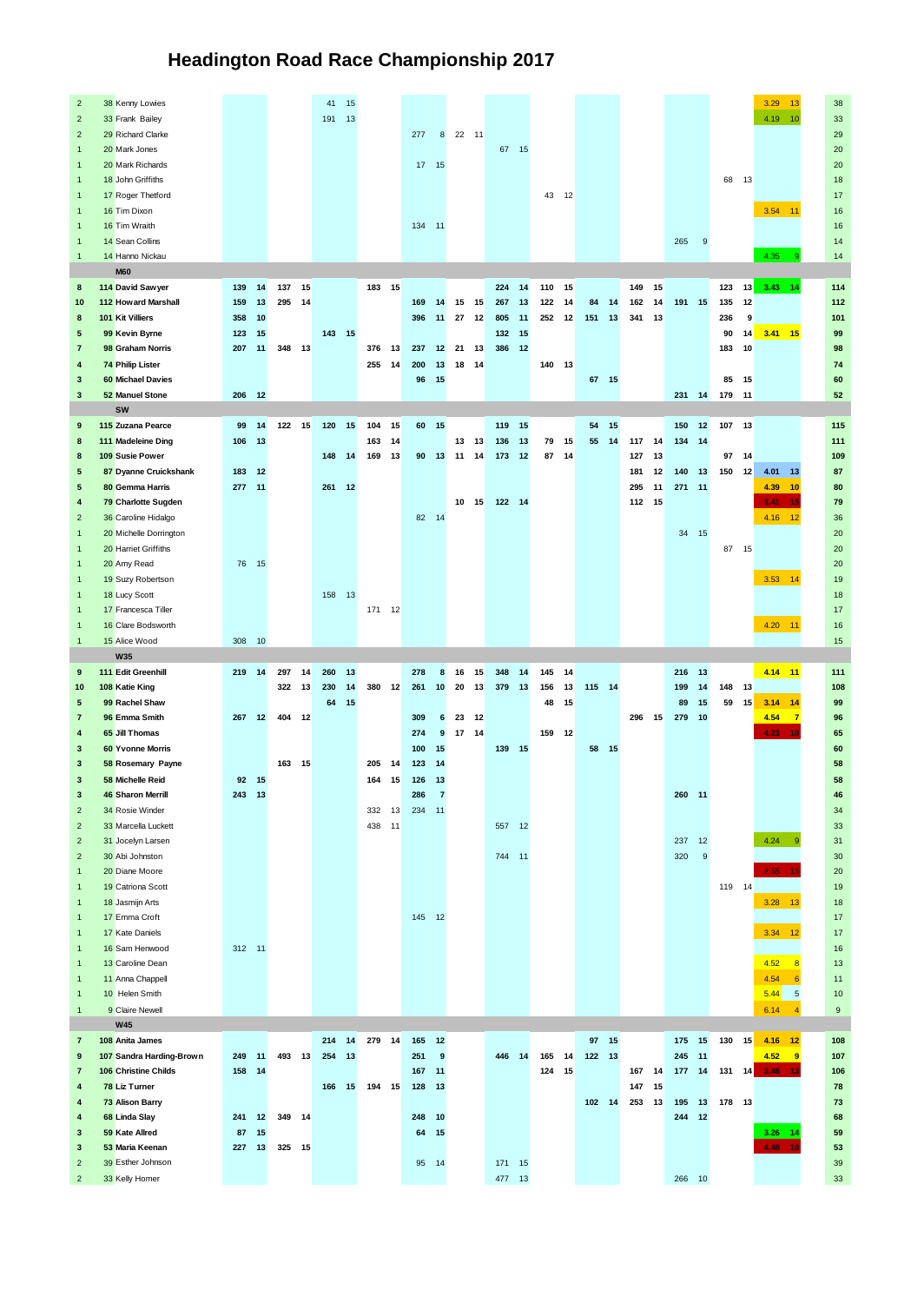## **Headington Road Race Championship 2017**

| $\overline{2}$          | 38 Kenny Lowies          |            |           |               |    | $41 - 15$ |    |        |                 |            |                |                                    |        |           |        |       |            |       |        |    |          |                  |        |       | 3.29 13     | 28                   |
|-------------------------|--------------------------|------------|-----------|---------------|----|-----------|----|--------|-----------------|------------|----------------|------------------------------------|--------|-----------|--------|-------|------------|-------|--------|----|----------|------------------|--------|-------|-------------|----------------------|
| $\overline{z}$          | 33 Frank Bailey          |            |           |               |    | 191 13    |    |        |                 |            |                |                                    |        |           |        |       |            |       |        |    |          |                  |        |       | $4.19 - 10$ | $\overline{33}$      |
|                         |                          |            |           |               |    |           |    |        |                 |            |                |                                    |        |           |        |       |            |       |        |    |          |                  |        |       |             |                      |
| $\overline{2}$          | 29 Richard Clarke        |            |           |               |    |           |    |        |                 | 2T         |                | 8 22 11                            |        |           |        |       |            |       |        |    |          |                  |        |       |             | 29                   |
|                         | 20 Mark Jones            |            |           |               |    |           |    |        |                 |            |                |                                    |        | $67 - 15$ |        |       |            |       |        |    |          |                  |        |       |             | 20                   |
|                         | 20 Mark Richards         |            |           |               |    |           |    |        |                 | 17         | 15             |                                    |        |           |        |       |            |       |        |    |          |                  |        |       |             | 20                   |
|                         | 18 John Griffiths        |            |           |               |    |           |    |        |                 |            |                |                                    |        |           |        |       |            |       |        |    |          |                  |        | 68 13 |             | 18                   |
|                         |                          |            |           |               |    |           |    |        |                 |            |                |                                    |        |           |        |       |            |       |        |    |          |                  |        |       |             |                      |
|                         | 17 Roger Thetford        |            |           |               |    |           |    |        |                 |            |                |                                    |        |           |        | 43 12 |            |       |        |    |          |                  |        |       |             | 17                   |
|                         | 16 Tim Dixon             |            |           |               |    |           |    |        |                 |            |                |                                    |        |           |        |       |            |       |        |    |          |                  |        |       | $3.54 - 11$ | 16                   |
| f                       | 16 Tim Wraith            |            |           |               |    |           |    |        |                 | $134 - 11$ |                |                                    |        |           |        |       |            |       |        |    |          |                  |        |       |             | 16                   |
|                         |                          |            |           |               |    |           |    |        |                 |            |                |                                    |        |           |        |       |            |       |        |    |          |                  |        |       |             |                      |
| $\overline{1}$          | 14 Sean Collins          |            |           |               |    |           |    |        |                 |            |                |                                    |        |           |        |       |            |       |        |    | 265      | $^{\circ}$       |        |       |             | 14                   |
| $\overline{1}$          | 14 Hanno Nickau          |            |           |               |    |           |    |        |                 |            |                |                                    |        |           |        |       |            |       |        |    |          |                  |        |       | 4.35        | 14                   |
|                         | <b>M60</b>               |            |           |               |    |           |    |        |                 |            |                |                                    |        |           |        |       |            |       |        |    |          |                  |        |       |             |                      |
| $\mathbf{R}$            | 114 David Saw ver        | 139 14     |           | 137 15        |    |           |    | 183 15 |                 |            |                |                                    | 224    | 14        | 110 15 |       |            |       | 149 15 |    |          |                  | 123    |       | 13 343 14   | 114                  |
| 10                      | 112 Howard Marshall      | 159        | 13        | 295 14        |    |           |    |        |                 | 169        | 14             | 15<br>15                           | 267    | 13        | 122    | 14    |            | 84 14 | 162 14 |    | 191      | 15               | 135    | 12    |             | 112                  |
|                         |                          |            |           |               |    |           |    |        |                 |            |                |                                    |        |           |        |       |            |       |        |    |          |                  |        |       |             |                      |
| $\overline{\mathbf{8}}$ | 101 Kit Villiers         | 358        | 10        |               |    |           |    |        |                 | 396        | 11             | $\overline{27}$<br>12              | 805    | 11        | 252    | 12    | 151        | 13    | 341 13 |    |          |                  | 236    | 9     |             | 101                  |
| s                       | 99 Kevin Byrne           | 123        | 15        |               |    | 143 15    |    |        |                 |            |                |                                    | 132    | 15        |        |       |            |       |        |    |          |                  | 90     | 14    | $3.41 - 15$ | 99                   |
| $\overline{7}$          | 98 Graham Norris         | 207        | 11        | 348 13        |    |           |    | 376    | 13              | 237        | 12             | 21<br>13                           | 386    | 12        |        |       |            |       |        |    |          |                  | 183    | 10    |             | 98                   |
|                         | 74 Philip Lister         |            |           |               |    |           |    | 255    |                 | 200        |                |                                    |        |           |        |       |            |       |        |    |          |                  |        |       |             | 74                   |
| $\overline{a}$          |                          |            |           |               |    |           |    |        | 14              |            | 13             | 18<br>14                           |        |           | 140 13 |       |            |       |        |    |          |                  |        |       |             |                      |
| 3                       | 60 Michael Davies        |            |           |               |    |           |    |        |                 | 96         | 15             |                                    |        |           |        |       |            | 67 15 |        |    |          |                  | 85     | 15    |             | 60                   |
| $\overline{\mathbf{3}}$ | 52 Manuel Stone          | 206        | 12        |               |    |           |    |        |                 |            |                |                                    |        |           |        |       |            |       |        |    | 231 14   |                  | 179    | 11    |             | 52                   |
|                         | sw                       |            |           |               |    |           |    |        |                 |            |                |                                    |        |           |        |       |            |       |        |    |          |                  |        |       |             |                      |
|                         |                          |            |           |               |    |           |    |        |                 |            |                |                                    |        |           |        |       |            |       |        |    |          |                  |        |       |             |                      |
| $\overline{9}$          | 115 Zuzana Pearce        | 99         | 14        | 122 15        |    | 120       | 15 | 104    | 15              | 60         | 15             |                                    | 119    | 15        |        |       |            | 54 15 |        |    | 150      | 12               | 107    | 13    |             | 115                  |
| $\mathbf{R}$            | 111 Madeleine Dinn       | 106        | 13        |               |    |           |    | 163    | 14              |            |                | 13 <sub>1</sub><br>13 <sup>2</sup> | 136    | 13        | 79     | 15    | 55         | 14    | 117    | 14 | 134      | 14               |        |       |             | 111                  |
| $\mathbf{z}$            | 109 Susie Power          |            |           |               |    | 148 14    |    | 169    | 13              | 9n         | 13             | 14<br>11                           | 173    | 12        | 87     | 14    |            |       | 127    | 13 |          |                  | 97     | 14    |             | 109                  |
| $\overline{5}$          | 87 Dyanne Cruickshank    | 183 12     |           |               |    |           |    |        |                 |            |                |                                    |        |           |        |       |            |       | 181    | 12 | 140      | 13               | 150    | 12    | 4.01<br>13  | 87                   |
|                         |                          |            |           |               |    |           |    |        |                 |            |                |                                    |        |           |        |       |            |       |        |    |          |                  |        |       |             |                      |
| s                       | 80 Gemma Harris          | 277 11     |           |               |    | 261 12    |    |        |                 |            |                |                                    |        |           |        |       |            |       | 295 11 |    | 271      | $\overline{11}$  |        |       | 4.39<br>10  | 80                   |
| $\ddot{\phantom{1}}$    | 79 Charlotte Sugden      |            |           |               |    |           |    |        |                 |            |                | 10 15                              | 122 14 |           |        |       |            |       | 112 15 |    |          |                  |        |       | 3.41<br>×   | 79                   |
| $\overline{z}$          | 36 Caroline Hidalgo      |            |           |               |    |           |    |        |                 | 82 14      |                |                                    |        |           |        |       |            |       |        |    |          |                  |        |       | $4.16 - 12$ | 25                   |
|                         | 20 Michelle Domington    |            |           |               |    |           |    |        |                 |            |                |                                    |        |           |        |       |            |       |        |    | 34 15    |                  |        |       |             | 20                   |
|                         |                          |            |           |               |    |           |    |        |                 |            |                |                                    |        |           |        |       |            |       |        |    |          |                  |        |       |             |                      |
|                         | 20 Harriet Griffiths     |            |           |               |    |           |    |        |                 |            |                |                                    |        |           |        |       |            |       |        |    |          |                  |        | 87 15 |             | 20                   |
|                         | 20 Amy Read              |            | 76 15     |               |    |           |    |        |                 |            |                |                                    |        |           |        |       |            |       |        |    |          |                  |        |       |             | 20                   |
| ł                       | 19 Suzy Robertson        |            |           |               |    |           |    |        |                 |            |                |                                    |        |           |        |       |            |       |        |    |          |                  |        |       | 3.53 14     | 19                   |
| ٠                       | 18 Lucy Scott            |            |           |               |    | 158 13    |    |        |                 |            |                |                                    |        |           |        |       |            |       |        |    |          |                  |        |       |             | 18                   |
|                         |                          |            |           |               |    |           |    |        |                 |            |                |                                    |        |           |        |       |            |       |        |    |          |                  |        |       |             | 17                   |
|                         | 17 Francesca Tiller      |            |           |               |    |           |    | 171 12 |                 |            |                |                                    |        |           |        |       |            |       |        |    |          |                  |        |       |             |                      |
|                         | 16 Clare Bodsworth       |            |           |               |    |           |    |        |                 |            |                |                                    |        |           |        |       |            |       |        |    |          |                  |        |       | 4.20 11     | 16                   |
|                         |                          |            |           |               |    |           |    |        |                 |            |                |                                    |        |           |        |       |            |       |        |    |          |                  |        |       |             |                      |
| 1                       |                          |            | $10^{-1}$ |               |    |           |    |        |                 |            |                |                                    |        |           |        |       |            |       |        |    |          |                  |        |       |             |                      |
|                         | 15 Alice Wood            | 308        |           |               |    |           |    |        |                 |            |                |                                    |        |           |        |       |            |       |        |    |          |                  |        |       |             | 15                   |
|                         | W35                      |            |           |               |    |           |    |        |                 |            |                |                                    |        |           |        |       |            |       |        |    |          |                  |        |       |             |                      |
| $\ddot{a}$              | 111 Fdit Greenhill       | 219 14     |           | 297           | 14 | 260       | 13 |        |                 | 278        | $\mathbf{R}$   | 16<br>15                           | 348    | 14        | 145    | 14    |            |       |        |    | 216      | 13               |        |       | 4.14 11     | 111                  |
| 10                      | 108 Katie King           |            |           | 322 13        |    | 230       | 14 | 380 12 |                 | 261        | 10             | $\infty$<br>13                     | 379    | 13        | 156    | 13    | 115 14     |       |        |    | 199      | 14               | 148    | 13    |             | 108                  |
| $\overline{5}$          | 99 Rachel Shaw           |            |           |               |    | 64        | 15 |        |                 |            |                |                                    |        |           | 48     | 15    |            |       |        |    | $\infty$ | 15               | 59     | 15    | $3.14 - 14$ | 99                   |
|                         |                          |            |           |               |    |           |    |        |                 |            |                |                                    |        |           |        |       |            |       |        |    |          |                  |        |       |             |                      |
| $\overline{7}$          | 96 Emma Smith            | 267        | 12        | 404 12        |    |           |    |        |                 | 309        | 6              | 23<br>12                           |        |           |        |       |            |       | 296 15 |    | 279      | 10               |        |       | 4.54        | 96                   |
| $\ddot{\phantom{1}}$    | 65 Jill Thomas           |            |           |               |    |           |    |        |                 | 274        | $\overline{9}$ | 17<br>14                           |        |           | 159    | 12    |            |       |        |    |          |                  |        |       |             | 65                   |
| $\overline{\mathbf{z}}$ | 60 Yvonne Morris         |            |           |               |    |           |    |        |                 | 100        | 15             |                                    | 139 15 |           |        |       |            | 58 15 |        |    |          |                  |        |       |             | 60                   |
| $\overline{\mathbf{3}}$ |                          |            |           | 163 15        |    |           |    | 205    | 14              | 123        | 14             |                                    |        |           |        |       |            |       |        |    |          |                  |        |       |             | <b>KR</b>            |
|                         | 58 Rosemary Payne        |            |           |               |    |           |    |        |                 |            |                |                                    |        |           |        |       |            |       |        |    |          |                  |        |       |             |                      |
| $\overline{\mathbf{3}}$ | 58 Michelle Reid         | 92 15      |           |               |    |           |    | 164    | 15              | 126        | 13             |                                    |        |           |        |       |            |       |        |    |          |                  |        |       |             | 58                   |
| $\overline{\mathbf{3}}$ | 46 Sharon Merrill        | $243 - 13$ |           |               |    |           |    |        |                 | 286        | ż              |                                    |        |           |        |       |            |       |        |    | 260      | $\overline{11}$  |        |       |             | 46                   |
| $\overline{2}$          | 34 Rosie Winder          |            |           |               |    |           |    | 332    | 13              | 234 11     |                |                                    |        |           |        |       |            |       |        |    |          |                  |        |       |             | 34                   |
| $\overline{z}$          | 33 Marrella Luckett      |            |           |               |    |           |    | 438    | $\overline{11}$ |            |                |                                    | 557    | 12        |        |       |            |       |        |    |          |                  |        |       |             | $\overline{z}$       |
| $\overline{2}$          | 31 Jocelyn Larsen        |            |           |               |    |           |    |        |                 |            |                |                                    |        |           |        |       |            |       |        |    | 237      | 12               |        |       | $4.24 = 9$  | 31                   |
|                         |                          |            |           |               |    |           |    |        |                 |            |                |                                    |        |           |        |       |            |       |        |    |          | $\alpha$         |        |       |             |                      |
| $\overline{2}$          | 30 Abi Johnston          |            |           |               |    |           |    |        |                 |            |                |                                    | 744 11 |           |        |       |            |       |        |    | 320      |                  |        |       |             | 30                   |
| 1                       | 20 Diane Moore           |            |           |               |    |           |    |        |                 |            |                |                                    |        |           |        |       |            |       |        |    |          |                  |        |       |             | 20                   |
| ł                       | 19 Catriona Scott        |            |           |               |    |           |    |        |                 |            |                |                                    |        |           |        |       |            |       |        |    |          |                  | 119 14 |       |             | 19                   |
| ٠                       | 18 Jasmijn Arts          |            |           |               |    |           |    |        |                 |            |                |                                    |        |           |        |       |            |       |        |    |          |                  |        |       | 3.28 13     | 18                   |
| ł                       |                          |            |           |               |    |           |    |        |                 | $145 - 12$ |                |                                    |        |           |        |       |            |       |        |    |          |                  |        |       |             | 17                   |
|                         | 17 Emma Croft            |            |           |               |    |           |    |        |                 |            |                |                                    |        |           |        |       |            |       |        |    |          |                  |        |       |             |                      |
|                         | 17 Kate Daniels          |            |           |               |    |           |    |        |                 |            |                |                                    |        |           |        |       |            |       |        |    |          |                  |        |       | 3.34 12     | 17                   |
|                         | 16 Sam Henwood           | 312 11     |           |               |    |           |    |        |                 |            |                |                                    |        |           |        |       |            |       |        |    |          |                  |        |       |             | 16                   |
|                         | 13 Caroline Dean         |            |           |               |    |           |    |        |                 |            |                |                                    |        |           |        |       |            |       |        |    |          |                  |        |       | $4.52 - 8$  | 13                   |
|                         |                          |            |           |               |    |           |    |        |                 |            |                |                                    |        |           |        |       |            |       |        |    |          |                  |        |       | <b>B</b>    |                      |
|                         | 11 Anna Chappell         |            |           |               |    |           |    |        |                 |            |                |                                    |        |           |        |       |            |       |        |    |          |                  |        |       | 4.54        | 11                   |
| $\overline{1}$          | 10 Helen Smith           |            |           |               |    |           |    |        |                 |            |                |                                    |        |           |        |       |            |       |        |    |          |                  |        |       | $5.44$ 5    | 10                   |
| $\overline{1}$          | <b>9 Claim Newell</b>    |            |           |               |    |           |    |        |                 |            |                |                                    |        |           |        |       |            |       |        |    |          |                  |        |       | 6.14        | $\ddot{\phantom{a}}$ |
|                         | <b>W45</b>               |            |           |               |    |           |    |        |                 |            |                |                                    |        |           |        |       |            |       |        |    |          |                  |        |       |             |                      |
| $\overline{7}$          | 108 Anita James          |            |           |               |    | 214 14    |    | 279    | 14              | 165        | 12             |                                    |        |           |        |       |            | 97 15 |        |    | 175      | 15               | 130    | 15    | $4.16$ 12   | 108                  |
|                         |                          |            |           |               |    |           |    |        |                 |            |                |                                    |        |           |        |       |            |       |        |    |          |                  |        |       |             |                      |
| $\ddot{a}$              | 107 Sandra Harding-Brown | 249 11     |           | $493 - 13$    |    | 254       | 13 |        |                 | 251        | ø              |                                    | 446    | 14        | 165 14 |       | $122 - 13$ |       |        |    | 245      | 11               |        |       | 4.52<br>- q | 107                  |
| $\overline{z}$          | 106 Christine Childs     | 158 14     |           |               |    |           |    |        |                 | 167        | 11             |                                    |        |           | 124 15 |       |            |       | 167    | 14 | 177      | 14               | 131    | 14    |             | 106                  |
| ٠                       | 78 Liz Tumer             |            |           |               |    | 166 15    |    | 194 15 |                 | 128        | 13             |                                    |        |           |        |       |            |       | 147    | 15 |          |                  |        |       |             | 78                   |
| $\ddot{\phantom{1}}$    | 73 Alison Barry          |            |           |               |    |           |    |        |                 |            |                |                                    |        |           |        |       | $102 - 14$ |       | 253 13 |    | 195 13   |                  | 178 13 |       |             | 73                   |
|                         |                          |            |           |               |    |           |    |        |                 |            |                |                                    |        |           |        |       |            |       |        |    |          |                  |        |       |             |                      |
| $\ddot{\phantom{1}}$    | 68 Linda Slay            | 241        | 12        | 349           | 14 |           |    |        |                 | 248        | 10             |                                    |        |           |        |       |            |       |        |    | 244      | 12               |        |       |             | 68                   |
| $\overline{\mathbf{z}}$ | 59 Kate Allred           |            | 87 15     |               |    |           |    |        |                 | 64         | 15             |                                    |        |           |        |       |            |       |        |    |          |                  |        |       | $3.26 - 14$ | 59                   |
| $\overline{\mathbf{3}}$ | 53 Maria Keenan          |            |           | 227 13 325 15 |    |           |    |        |                 |            |                |                                    |        |           |        |       |            |       |        |    |          |                  |        |       | 4.49        | 53                   |
| $\overline{2}$          | so Esther Johnson        |            |           |               |    |           |    |        |                 | 95 14      |                |                                    | 171 15 |           |        |       |            |       |        |    |          |                  |        |       |             | 39                   |
| $\overline{2}$          | 33 Kelly Homer           |            |           |               |    |           |    |        |                 |            |                |                                    | 477    | 13        |        |       |            |       |        |    | 266      | 10 <sup>10</sup> |        |       |             | 33                   |